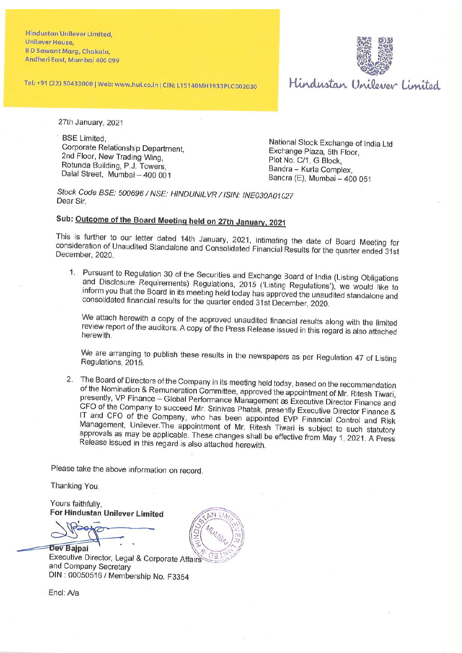**Hindustan Unilever Limited,** Unilever House. **BD Sawant Marg, Chakala,** Andheri East, Mumbai 400 099

Tel: +91 (22) 50433000 | Web: www.hul.co.in | CIN: L15140MH1933PLC002030



Hindustan Unilever Limited

27th January, 2021

**BSE Limited.** Corporate Relationship Department. 2nd Floor, New Trading Wing, Rotunda Building, P.J. Towers, Dalal Street. Mumbai - 400 001

National Stock Exchange of India Ltd Exchange Plaza, 5th Floor, Plot No. C/1, G Block. Bandra - Kurla Complex. Bandra (E), Mumbai - 400 051

Stock Code BSE: 500696 / NSE: HINDUNILVR / ISIN: INE030A01027 Dear Sir.

## Sub: Outcome of the Board Meeting held on 27th January, 2021

This is further to our letter dated 14th January, 2021, intimating the date of Board Meeting for consideration of Unaudited Standalone and Consolidated Financial Results for the quarter ended 31st December, 2020.

1. Pursuant to Regulation 30 of the Securities and Exchange Board of India (Listing Obligations and Disclosure Requirements) Regulations, 2015 ('Listing Regulations'), we would like to inform you that the Board in its meeting held today has approved the unaudited standalone and consolidated financial results for the quarter ended 31st December, 2020.

We attach herewith a copy of the approved unaudited financial results along with the limited review report of the auditors. A copy of the Press Release issued in this regard is also attached herewith.

We are arranging to publish these results in the newspapers as per Regulation 47 of Listing Regulations, 2015.

2. The Board of Directors of the Company in its meeting held today, based on the recommendation of the Nomination & Remuneration Committee, approved the appointment of Mr. Ritesh Tiwari, presently, VP Finance - Global Performance Management as Executive Director Finance and CFO of the Company to succeed Mr. Srinivas Phatak, presently Executive Director Finance & IT and CFO of the Company, who has been appointed EVP Financial Control and Risk Management, Unilever The appointment of Mr. Ritesh Tiwari is subject to such statutory approvals as may be applicable. These changes shall be effective from May 1, 2021. A Press Release issued in this regard is also attached herewith.

Please take the above information on record.

Thanking You.

Yours faithfully, For Hindustan Unilever Limited

**Dev Baipai** 

Executive Director, Legal & Corporate Affairs and Company Secretary DIN: 00050516 / Membership No. F3354



Encl: A/a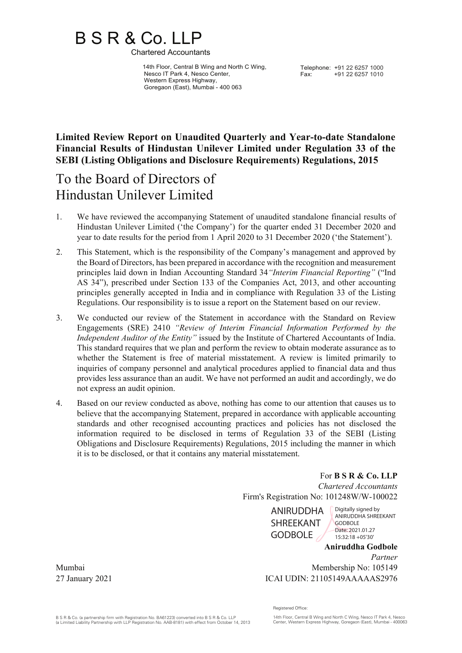# B S R & Co. LLP<br>Chartered Accountants

 14th Floor, Central B Wing and North C Wing, Nesco IT Park 4, Nesco Center, Western Express Highway, Goregaon (East), Mumbai - 400 063

Telephone: +91 22 6257 1000<br>Fax: +91 22 6257 1010 +91 22 6257 1010

## **Limited Review Report on Unaudited Quarterly and Year-to-date Standalone Financial Results of Hindustan Unilever Limited under Regulation 33 of the SEBI (Listing Obligations and Disclosure Requirements) Regulations, 2015**

## To the Board of Directors of Hindustan Unilever Limited

- 1. We have reviewed the accompanying Statement of unaudited standalone financial results of Hindustan Unilever Limited ('the Company') for the quarter ended 31 December 2020 and year to date results for the period from 1 April 2020 to 31 December 2020 ('the Statement').
- 2. This Statement, which is the responsibility of the Company's management and approved by the Board of Directors, has been prepared in accordance with the recognition and measurement principles laid down in Indian Accounting Standard 34*"Interim Financial Reporting"* ("Ind AS 34"), prescribed under Section 133 of the Companies Act, 2013, and other accounting principles generally accepted in India and in compliance with Regulation 33 of the Listing Regulations. Our responsibility is to issue a report on the Statement based on our review.
- 3. We conducted our review of the Statement in accordance with the Standard on Review Engagements (SRE) 2410 *"Review of Interim Financial Information Performed by the Independent Auditor of the Entity"* issued by the Institute of Chartered Accountants of India. This standard requires that we plan and perform the review to obtain moderate assurance as to whether the Statement is free of material misstatement. A review is limited primarily to inquiries of company personnel and analytical procedures applied to financial data and thus provides less assurance than an audit. We have not performed an audit and accordingly, we do not express an audit opinion.
- 4. Based on our review conducted as above, nothing has come to our attention that causes us to believe that the accompanying Statement, prepared in accordance with applicable accounting standards and other recognised accounting practices and policies has not disclosed the information required to be disclosed in terms of Regulation 33 of the SEBI (Listing Obligations and Disclosure Requirements) Regulations, 2015 including the manner in which it is to be disclosed, or that it contains any material misstatement.

For **B S R & Co. LLP** *Chartered Accountants* Firm's Registration No: 101248W/W-100022

> ANIRUDDHA SHREEKANT GODBOLE

**Aniruddha Godbole** Digitally signed by ANIRUDDHA SHREEKANT GODBOLE Date: 2021.01.27 15:32:18 +05'30'

*Partner* Mumbai Membership No: 105149 27 January 2021 ICAI UDIN: 21105149AAAAAS2976

Registered Office: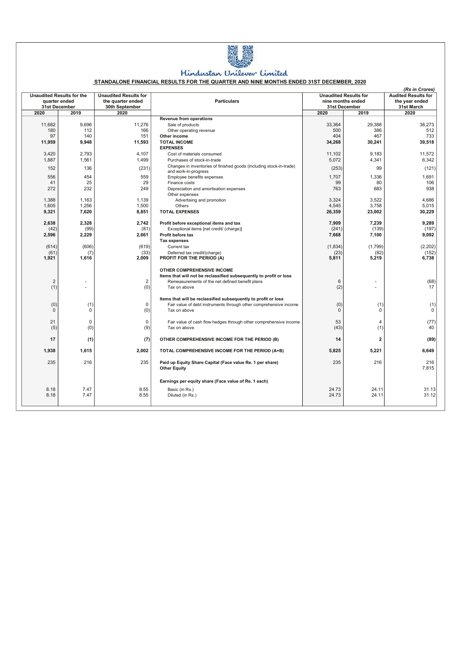

## Hindustan Unilever Limited

#### STANDALONE FINANCIAL RESULTS FOR THE QUARTER AND NINE MONTHS ENDED 31ST DECEMBER, 2020

| the quarter ended<br><b>Particulars</b><br>nine months ended<br>the vear ended<br>quarter ended<br>31st December<br>30th September<br>31st March<br>31st December<br>2020<br>2019<br>2020<br>2020<br>2020<br>2019<br><b>Revenue from operations</b><br>38,273<br>11,682<br>9.696<br>11,276<br>Sale of products<br>33,364<br>29,388<br>180<br>112<br>166<br>500<br>386<br>512<br>Other operating revenue<br>97<br>140<br>404<br>467<br>733<br>151<br>Other income<br>11,959<br>9.948<br>11.593<br><b>TOTAL INCOME</b><br>39.518<br>34,268<br>30,241<br><b>EXPENSES</b><br>3,420<br>2.793<br>4.107<br>9.183<br>11.572<br>11.102<br>Cost of materials consumed<br>1,887<br>1,561<br>1,499<br>5,072<br>4,341<br>6,342<br>Purchases of stock-in-trade<br>Changes in inventories of finished goods (including stock-in-trade)<br>136<br>(231)<br>(253)<br>99<br>152<br>(121)<br>and work-in-progress<br>556<br>454<br>559<br>1.707<br>1.336<br>1,691<br>Employee benefits expenses<br>25<br>99<br>41<br>29<br>80<br>106<br>Finance costs<br>272<br>232<br>249<br>763<br>683<br>938<br>Depreciation and amortisation expenses<br>Other expenses<br>3,324<br>3,522<br>1,388<br>1,163<br>1,139<br>Advertising and promotion<br>4,686<br>1,256<br>1,500<br>4,545<br>3,758<br>5,015<br>1,605<br>Others<br><b>TOTAL EXPENSES</b><br>26,359<br>23,002<br>30,229<br>9,321<br>7,620<br>8,851<br>2,638<br>2,328<br>2,742<br>7,909<br>7,239<br>9,289<br>Profit before exceptional items and tax<br>(42)<br>(81)<br>(241)<br>(139)<br>(197)<br>(99)<br>Exceptional items [net credit/ (charge)]<br>2,596<br>2,229<br>2,661<br>Profit before tax<br>7,668<br>7,100<br>9,092<br><b>Tax expenses</b><br>(614)<br>(606)<br>(619)<br>(1,834)<br>(1,799)<br>(2, 202)<br>Current tax<br>(61)<br>(152)<br>(33)<br>(23)<br>(82)<br>(7)<br>Deferred tax credit/(charge)<br>6,738<br>1,921<br>2,009<br>PROFIT FOR THE PERIOD (A)<br>5,811<br>5,219<br>1,616<br>OTHER COMPREHENSIVE INCOME<br>Items that will not be reclassified subsequently to profit or loss<br>2<br>$\overline{2}$<br>6<br>(68)<br>Remeasurements of the net defined benefit plans<br>(2)<br>(1)<br>(0)<br>17<br>Tax on above<br>$\overline{a}$<br>Items that will be reclassified subsequently to profit or loss<br>$\mathbf 0$<br>(0)<br>(0)<br>(1)<br>(1)<br>Fair value of debt instruments through other comprehensive income<br>(1)<br>(0)<br>$\Omega$<br>$\Omega$<br>$\Omega$<br>$\Omega$<br>$\Omega$<br>Tax on above<br>21<br>$\mathbf 0$<br>$\mathbf 0$<br>53<br>Fair value of cash flow hedges through other comprehensive income<br>$\overline{4}$<br>(77)<br>(9)<br>(43)<br>(5)<br>(0)<br>Tax on above<br>(1)<br>40<br>17<br>14<br>$\overline{2}$<br>(89)<br>(1)<br>(7)<br>OTHER COMPREHENSIVE INCOME FOR THE PERIOD (B)<br>1,938<br>1,615<br>2,002<br>TOTAL COMPREHENSIVE INCOME FOR THE PERIOD (A+B)<br>5,825<br>5,221<br>6,649<br>235<br>216<br>235<br>235<br>216<br>216<br>Paid up Equity Share Capital (Face value Re. 1 per share)<br>7,815<br><b>Other Equity</b><br>Earnings per equity share (Face value of Re. 1 each)<br>8.18<br>7.47<br>8.55<br>24.73<br>24.11<br>31.13<br>Basic (in Rs.)<br>8.18<br>7.47<br>8.55<br>24.73<br>24.11<br>Diluted (in Rs.) | (Rs in Crores)                   |  |                              |  |                              |  |                            |  |
|-----------------------------------------------------------------------------------------------------------------------------------------------------------------------------------------------------------------------------------------------------------------------------------------------------------------------------------------------------------------------------------------------------------------------------------------------------------------------------------------------------------------------------------------------------------------------------------------------------------------------------------------------------------------------------------------------------------------------------------------------------------------------------------------------------------------------------------------------------------------------------------------------------------------------------------------------------------------------------------------------------------------------------------------------------------------------------------------------------------------------------------------------------------------------------------------------------------------------------------------------------------------------------------------------------------------------------------------------------------------------------------------------------------------------------------------------------------------------------------------------------------------------------------------------------------------------------------------------------------------------------------------------------------------------------------------------------------------------------------------------------------------------------------------------------------------------------------------------------------------------------------------------------------------------------------------------------------------------------------------------------------------------------------------------------------------------------------------------------------------------------------------------------------------------------------------------------------------------------------------------------------------------------------------------------------------------------------------------------------------------------------------------------------------------------------------------------------------------------------------------------------------------------------------------------------------------------------------------------------------------------------------------------------------------------------------------------------------------------------------------------------------------------------------------------------------------------------------------------------------------------------------------------------------------------------------------------------------------------------------------------------------------------------------------------------------------------------------------------------------------------------------------------------------------------------------------------------------------|----------------------------------|--|------------------------------|--|------------------------------|--|----------------------------|--|
|                                                                                                                                                                                                                                                                                                                                                                                                                                                                                                                                                                                                                                                                                                                                                                                                                                                                                                                                                                                                                                                                                                                                                                                                                                                                                                                                                                                                                                                                                                                                                                                                                                                                                                                                                                                                                                                                                                                                                                                                                                                                                                                                                                                                                                                                                                                                                                                                                                                                                                                                                                                                                                                                                                                                                                                                                                                                                                                                                                                                                                                                                                                                                                                                                       | <b>Unaudited Results for the</b> |  | <b>Unaudited Results for</b> |  | <b>Unaudited Results for</b> |  | <b>Audited Results for</b> |  |
|                                                                                                                                                                                                                                                                                                                                                                                                                                                                                                                                                                                                                                                                                                                                                                                                                                                                                                                                                                                                                                                                                                                                                                                                                                                                                                                                                                                                                                                                                                                                                                                                                                                                                                                                                                                                                                                                                                                                                                                                                                                                                                                                                                                                                                                                                                                                                                                                                                                                                                                                                                                                                                                                                                                                                                                                                                                                                                                                                                                                                                                                                                                                                                                                                       |                                  |  |                              |  |                              |  |                            |  |
|                                                                                                                                                                                                                                                                                                                                                                                                                                                                                                                                                                                                                                                                                                                                                                                                                                                                                                                                                                                                                                                                                                                                                                                                                                                                                                                                                                                                                                                                                                                                                                                                                                                                                                                                                                                                                                                                                                                                                                                                                                                                                                                                                                                                                                                                                                                                                                                                                                                                                                                                                                                                                                                                                                                                                                                                                                                                                                                                                                                                                                                                                                                                                                                                                       |                                  |  |                              |  |                              |  |                            |  |
|                                                                                                                                                                                                                                                                                                                                                                                                                                                                                                                                                                                                                                                                                                                                                                                                                                                                                                                                                                                                                                                                                                                                                                                                                                                                                                                                                                                                                                                                                                                                                                                                                                                                                                                                                                                                                                                                                                                                                                                                                                                                                                                                                                                                                                                                                                                                                                                                                                                                                                                                                                                                                                                                                                                                                                                                                                                                                                                                                                                                                                                                                                                                                                                                                       |                                  |  |                              |  |                              |  |                            |  |
|                                                                                                                                                                                                                                                                                                                                                                                                                                                                                                                                                                                                                                                                                                                                                                                                                                                                                                                                                                                                                                                                                                                                                                                                                                                                                                                                                                                                                                                                                                                                                                                                                                                                                                                                                                                                                                                                                                                                                                                                                                                                                                                                                                                                                                                                                                                                                                                                                                                                                                                                                                                                                                                                                                                                                                                                                                                                                                                                                                                                                                                                                                                                                                                                                       |                                  |  |                              |  |                              |  |                            |  |
|                                                                                                                                                                                                                                                                                                                                                                                                                                                                                                                                                                                                                                                                                                                                                                                                                                                                                                                                                                                                                                                                                                                                                                                                                                                                                                                                                                                                                                                                                                                                                                                                                                                                                                                                                                                                                                                                                                                                                                                                                                                                                                                                                                                                                                                                                                                                                                                                                                                                                                                                                                                                                                                                                                                                                                                                                                                                                                                                                                                                                                                                                                                                                                                                                       |                                  |  |                              |  |                              |  |                            |  |
|                                                                                                                                                                                                                                                                                                                                                                                                                                                                                                                                                                                                                                                                                                                                                                                                                                                                                                                                                                                                                                                                                                                                                                                                                                                                                                                                                                                                                                                                                                                                                                                                                                                                                                                                                                                                                                                                                                                                                                                                                                                                                                                                                                                                                                                                                                                                                                                                                                                                                                                                                                                                                                                                                                                                                                                                                                                                                                                                                                                                                                                                                                                                                                                                                       |                                  |  |                              |  |                              |  |                            |  |
|                                                                                                                                                                                                                                                                                                                                                                                                                                                                                                                                                                                                                                                                                                                                                                                                                                                                                                                                                                                                                                                                                                                                                                                                                                                                                                                                                                                                                                                                                                                                                                                                                                                                                                                                                                                                                                                                                                                                                                                                                                                                                                                                                                                                                                                                                                                                                                                                                                                                                                                                                                                                                                                                                                                                                                                                                                                                                                                                                                                                                                                                                                                                                                                                                       |                                  |  |                              |  |                              |  |                            |  |
|                                                                                                                                                                                                                                                                                                                                                                                                                                                                                                                                                                                                                                                                                                                                                                                                                                                                                                                                                                                                                                                                                                                                                                                                                                                                                                                                                                                                                                                                                                                                                                                                                                                                                                                                                                                                                                                                                                                                                                                                                                                                                                                                                                                                                                                                                                                                                                                                                                                                                                                                                                                                                                                                                                                                                                                                                                                                                                                                                                                                                                                                                                                                                                                                                       |                                  |  |                              |  |                              |  |                            |  |
|                                                                                                                                                                                                                                                                                                                                                                                                                                                                                                                                                                                                                                                                                                                                                                                                                                                                                                                                                                                                                                                                                                                                                                                                                                                                                                                                                                                                                                                                                                                                                                                                                                                                                                                                                                                                                                                                                                                                                                                                                                                                                                                                                                                                                                                                                                                                                                                                                                                                                                                                                                                                                                                                                                                                                                                                                                                                                                                                                                                                                                                                                                                                                                                                                       |                                  |  |                              |  |                              |  |                            |  |
|                                                                                                                                                                                                                                                                                                                                                                                                                                                                                                                                                                                                                                                                                                                                                                                                                                                                                                                                                                                                                                                                                                                                                                                                                                                                                                                                                                                                                                                                                                                                                                                                                                                                                                                                                                                                                                                                                                                                                                                                                                                                                                                                                                                                                                                                                                                                                                                                                                                                                                                                                                                                                                                                                                                                                                                                                                                                                                                                                                                                                                                                                                                                                                                                                       |                                  |  |                              |  |                              |  |                            |  |
|                                                                                                                                                                                                                                                                                                                                                                                                                                                                                                                                                                                                                                                                                                                                                                                                                                                                                                                                                                                                                                                                                                                                                                                                                                                                                                                                                                                                                                                                                                                                                                                                                                                                                                                                                                                                                                                                                                                                                                                                                                                                                                                                                                                                                                                                                                                                                                                                                                                                                                                                                                                                                                                                                                                                                                                                                                                                                                                                                                                                                                                                                                                                                                                                                       |                                  |  |                              |  |                              |  |                            |  |
|                                                                                                                                                                                                                                                                                                                                                                                                                                                                                                                                                                                                                                                                                                                                                                                                                                                                                                                                                                                                                                                                                                                                                                                                                                                                                                                                                                                                                                                                                                                                                                                                                                                                                                                                                                                                                                                                                                                                                                                                                                                                                                                                                                                                                                                                                                                                                                                                                                                                                                                                                                                                                                                                                                                                                                                                                                                                                                                                                                                                                                                                                                                                                                                                                       |                                  |  |                              |  |                              |  |                            |  |
|                                                                                                                                                                                                                                                                                                                                                                                                                                                                                                                                                                                                                                                                                                                                                                                                                                                                                                                                                                                                                                                                                                                                                                                                                                                                                                                                                                                                                                                                                                                                                                                                                                                                                                                                                                                                                                                                                                                                                                                                                                                                                                                                                                                                                                                                                                                                                                                                                                                                                                                                                                                                                                                                                                                                                                                                                                                                                                                                                                                                                                                                                                                                                                                                                       |                                  |  |                              |  |                              |  |                            |  |
|                                                                                                                                                                                                                                                                                                                                                                                                                                                                                                                                                                                                                                                                                                                                                                                                                                                                                                                                                                                                                                                                                                                                                                                                                                                                                                                                                                                                                                                                                                                                                                                                                                                                                                                                                                                                                                                                                                                                                                                                                                                                                                                                                                                                                                                                                                                                                                                                                                                                                                                                                                                                                                                                                                                                                                                                                                                                                                                                                                                                                                                                                                                                                                                                                       |                                  |  |                              |  |                              |  |                            |  |
|                                                                                                                                                                                                                                                                                                                                                                                                                                                                                                                                                                                                                                                                                                                                                                                                                                                                                                                                                                                                                                                                                                                                                                                                                                                                                                                                                                                                                                                                                                                                                                                                                                                                                                                                                                                                                                                                                                                                                                                                                                                                                                                                                                                                                                                                                                                                                                                                                                                                                                                                                                                                                                                                                                                                                                                                                                                                                                                                                                                                                                                                                                                                                                                                                       |                                  |  |                              |  |                              |  |                            |  |
|                                                                                                                                                                                                                                                                                                                                                                                                                                                                                                                                                                                                                                                                                                                                                                                                                                                                                                                                                                                                                                                                                                                                                                                                                                                                                                                                                                                                                                                                                                                                                                                                                                                                                                                                                                                                                                                                                                                                                                                                                                                                                                                                                                                                                                                                                                                                                                                                                                                                                                                                                                                                                                                                                                                                                                                                                                                                                                                                                                                                                                                                                                                                                                                                                       |                                  |  |                              |  |                              |  |                            |  |
|                                                                                                                                                                                                                                                                                                                                                                                                                                                                                                                                                                                                                                                                                                                                                                                                                                                                                                                                                                                                                                                                                                                                                                                                                                                                                                                                                                                                                                                                                                                                                                                                                                                                                                                                                                                                                                                                                                                                                                                                                                                                                                                                                                                                                                                                                                                                                                                                                                                                                                                                                                                                                                                                                                                                                                                                                                                                                                                                                                                                                                                                                                                                                                                                                       |                                  |  |                              |  |                              |  |                            |  |
|                                                                                                                                                                                                                                                                                                                                                                                                                                                                                                                                                                                                                                                                                                                                                                                                                                                                                                                                                                                                                                                                                                                                                                                                                                                                                                                                                                                                                                                                                                                                                                                                                                                                                                                                                                                                                                                                                                                                                                                                                                                                                                                                                                                                                                                                                                                                                                                                                                                                                                                                                                                                                                                                                                                                                                                                                                                                                                                                                                                                                                                                                                                                                                                                                       |                                  |  |                              |  |                              |  |                            |  |
|                                                                                                                                                                                                                                                                                                                                                                                                                                                                                                                                                                                                                                                                                                                                                                                                                                                                                                                                                                                                                                                                                                                                                                                                                                                                                                                                                                                                                                                                                                                                                                                                                                                                                                                                                                                                                                                                                                                                                                                                                                                                                                                                                                                                                                                                                                                                                                                                                                                                                                                                                                                                                                                                                                                                                                                                                                                                                                                                                                                                                                                                                                                                                                                                                       |                                  |  |                              |  |                              |  |                            |  |
|                                                                                                                                                                                                                                                                                                                                                                                                                                                                                                                                                                                                                                                                                                                                                                                                                                                                                                                                                                                                                                                                                                                                                                                                                                                                                                                                                                                                                                                                                                                                                                                                                                                                                                                                                                                                                                                                                                                                                                                                                                                                                                                                                                                                                                                                                                                                                                                                                                                                                                                                                                                                                                                                                                                                                                                                                                                                                                                                                                                                                                                                                                                                                                                                                       |                                  |  |                              |  |                              |  |                            |  |
|                                                                                                                                                                                                                                                                                                                                                                                                                                                                                                                                                                                                                                                                                                                                                                                                                                                                                                                                                                                                                                                                                                                                                                                                                                                                                                                                                                                                                                                                                                                                                                                                                                                                                                                                                                                                                                                                                                                                                                                                                                                                                                                                                                                                                                                                                                                                                                                                                                                                                                                                                                                                                                                                                                                                                                                                                                                                                                                                                                                                                                                                                                                                                                                                                       |                                  |  |                              |  |                              |  |                            |  |
|                                                                                                                                                                                                                                                                                                                                                                                                                                                                                                                                                                                                                                                                                                                                                                                                                                                                                                                                                                                                                                                                                                                                                                                                                                                                                                                                                                                                                                                                                                                                                                                                                                                                                                                                                                                                                                                                                                                                                                                                                                                                                                                                                                                                                                                                                                                                                                                                                                                                                                                                                                                                                                                                                                                                                                                                                                                                                                                                                                                                                                                                                                                                                                                                                       |                                  |  |                              |  |                              |  |                            |  |
|                                                                                                                                                                                                                                                                                                                                                                                                                                                                                                                                                                                                                                                                                                                                                                                                                                                                                                                                                                                                                                                                                                                                                                                                                                                                                                                                                                                                                                                                                                                                                                                                                                                                                                                                                                                                                                                                                                                                                                                                                                                                                                                                                                                                                                                                                                                                                                                                                                                                                                                                                                                                                                                                                                                                                                                                                                                                                                                                                                                                                                                                                                                                                                                                                       |                                  |  |                              |  |                              |  |                            |  |
|                                                                                                                                                                                                                                                                                                                                                                                                                                                                                                                                                                                                                                                                                                                                                                                                                                                                                                                                                                                                                                                                                                                                                                                                                                                                                                                                                                                                                                                                                                                                                                                                                                                                                                                                                                                                                                                                                                                                                                                                                                                                                                                                                                                                                                                                                                                                                                                                                                                                                                                                                                                                                                                                                                                                                                                                                                                                                                                                                                                                                                                                                                                                                                                                                       |                                  |  |                              |  |                              |  |                            |  |
|                                                                                                                                                                                                                                                                                                                                                                                                                                                                                                                                                                                                                                                                                                                                                                                                                                                                                                                                                                                                                                                                                                                                                                                                                                                                                                                                                                                                                                                                                                                                                                                                                                                                                                                                                                                                                                                                                                                                                                                                                                                                                                                                                                                                                                                                                                                                                                                                                                                                                                                                                                                                                                                                                                                                                                                                                                                                                                                                                                                                                                                                                                                                                                                                                       |                                  |  |                              |  |                              |  |                            |  |
|                                                                                                                                                                                                                                                                                                                                                                                                                                                                                                                                                                                                                                                                                                                                                                                                                                                                                                                                                                                                                                                                                                                                                                                                                                                                                                                                                                                                                                                                                                                                                                                                                                                                                                                                                                                                                                                                                                                                                                                                                                                                                                                                                                                                                                                                                                                                                                                                                                                                                                                                                                                                                                                                                                                                                                                                                                                                                                                                                                                                                                                                                                                                                                                                                       |                                  |  |                              |  |                              |  |                            |  |
|                                                                                                                                                                                                                                                                                                                                                                                                                                                                                                                                                                                                                                                                                                                                                                                                                                                                                                                                                                                                                                                                                                                                                                                                                                                                                                                                                                                                                                                                                                                                                                                                                                                                                                                                                                                                                                                                                                                                                                                                                                                                                                                                                                                                                                                                                                                                                                                                                                                                                                                                                                                                                                                                                                                                                                                                                                                                                                                                                                                                                                                                                                                                                                                                                       |                                  |  |                              |  |                              |  |                            |  |
|                                                                                                                                                                                                                                                                                                                                                                                                                                                                                                                                                                                                                                                                                                                                                                                                                                                                                                                                                                                                                                                                                                                                                                                                                                                                                                                                                                                                                                                                                                                                                                                                                                                                                                                                                                                                                                                                                                                                                                                                                                                                                                                                                                                                                                                                                                                                                                                                                                                                                                                                                                                                                                                                                                                                                                                                                                                                                                                                                                                                                                                                                                                                                                                                                       |                                  |  |                              |  |                              |  |                            |  |
|                                                                                                                                                                                                                                                                                                                                                                                                                                                                                                                                                                                                                                                                                                                                                                                                                                                                                                                                                                                                                                                                                                                                                                                                                                                                                                                                                                                                                                                                                                                                                                                                                                                                                                                                                                                                                                                                                                                                                                                                                                                                                                                                                                                                                                                                                                                                                                                                                                                                                                                                                                                                                                                                                                                                                                                                                                                                                                                                                                                                                                                                                                                                                                                                                       |                                  |  |                              |  |                              |  |                            |  |
|                                                                                                                                                                                                                                                                                                                                                                                                                                                                                                                                                                                                                                                                                                                                                                                                                                                                                                                                                                                                                                                                                                                                                                                                                                                                                                                                                                                                                                                                                                                                                                                                                                                                                                                                                                                                                                                                                                                                                                                                                                                                                                                                                                                                                                                                                                                                                                                                                                                                                                                                                                                                                                                                                                                                                                                                                                                                                                                                                                                                                                                                                                                                                                                                                       |                                  |  |                              |  |                              |  |                            |  |
|                                                                                                                                                                                                                                                                                                                                                                                                                                                                                                                                                                                                                                                                                                                                                                                                                                                                                                                                                                                                                                                                                                                                                                                                                                                                                                                                                                                                                                                                                                                                                                                                                                                                                                                                                                                                                                                                                                                                                                                                                                                                                                                                                                                                                                                                                                                                                                                                                                                                                                                                                                                                                                                                                                                                                                                                                                                                                                                                                                                                                                                                                                                                                                                                                       |                                  |  |                              |  |                              |  |                            |  |
|                                                                                                                                                                                                                                                                                                                                                                                                                                                                                                                                                                                                                                                                                                                                                                                                                                                                                                                                                                                                                                                                                                                                                                                                                                                                                                                                                                                                                                                                                                                                                                                                                                                                                                                                                                                                                                                                                                                                                                                                                                                                                                                                                                                                                                                                                                                                                                                                                                                                                                                                                                                                                                                                                                                                                                                                                                                                                                                                                                                                                                                                                                                                                                                                                       |                                  |  |                              |  |                              |  |                            |  |
|                                                                                                                                                                                                                                                                                                                                                                                                                                                                                                                                                                                                                                                                                                                                                                                                                                                                                                                                                                                                                                                                                                                                                                                                                                                                                                                                                                                                                                                                                                                                                                                                                                                                                                                                                                                                                                                                                                                                                                                                                                                                                                                                                                                                                                                                                                                                                                                                                                                                                                                                                                                                                                                                                                                                                                                                                                                                                                                                                                                                                                                                                                                                                                                                                       |                                  |  |                              |  |                              |  |                            |  |
|                                                                                                                                                                                                                                                                                                                                                                                                                                                                                                                                                                                                                                                                                                                                                                                                                                                                                                                                                                                                                                                                                                                                                                                                                                                                                                                                                                                                                                                                                                                                                                                                                                                                                                                                                                                                                                                                                                                                                                                                                                                                                                                                                                                                                                                                                                                                                                                                                                                                                                                                                                                                                                                                                                                                                                                                                                                                                                                                                                                                                                                                                                                                                                                                                       |                                  |  |                              |  |                              |  |                            |  |
|                                                                                                                                                                                                                                                                                                                                                                                                                                                                                                                                                                                                                                                                                                                                                                                                                                                                                                                                                                                                                                                                                                                                                                                                                                                                                                                                                                                                                                                                                                                                                                                                                                                                                                                                                                                                                                                                                                                                                                                                                                                                                                                                                                                                                                                                                                                                                                                                                                                                                                                                                                                                                                                                                                                                                                                                                                                                                                                                                                                                                                                                                                                                                                                                                       |                                  |  |                              |  |                              |  |                            |  |
|                                                                                                                                                                                                                                                                                                                                                                                                                                                                                                                                                                                                                                                                                                                                                                                                                                                                                                                                                                                                                                                                                                                                                                                                                                                                                                                                                                                                                                                                                                                                                                                                                                                                                                                                                                                                                                                                                                                                                                                                                                                                                                                                                                                                                                                                                                                                                                                                                                                                                                                                                                                                                                                                                                                                                                                                                                                                                                                                                                                                                                                                                                                                                                                                                       |                                  |  |                              |  |                              |  |                            |  |
|                                                                                                                                                                                                                                                                                                                                                                                                                                                                                                                                                                                                                                                                                                                                                                                                                                                                                                                                                                                                                                                                                                                                                                                                                                                                                                                                                                                                                                                                                                                                                                                                                                                                                                                                                                                                                                                                                                                                                                                                                                                                                                                                                                                                                                                                                                                                                                                                                                                                                                                                                                                                                                                                                                                                                                                                                                                                                                                                                                                                                                                                                                                                                                                                                       |                                  |  |                              |  |                              |  |                            |  |
|                                                                                                                                                                                                                                                                                                                                                                                                                                                                                                                                                                                                                                                                                                                                                                                                                                                                                                                                                                                                                                                                                                                                                                                                                                                                                                                                                                                                                                                                                                                                                                                                                                                                                                                                                                                                                                                                                                                                                                                                                                                                                                                                                                                                                                                                                                                                                                                                                                                                                                                                                                                                                                                                                                                                                                                                                                                                                                                                                                                                                                                                                                                                                                                                                       |                                  |  |                              |  |                              |  |                            |  |
|                                                                                                                                                                                                                                                                                                                                                                                                                                                                                                                                                                                                                                                                                                                                                                                                                                                                                                                                                                                                                                                                                                                                                                                                                                                                                                                                                                                                                                                                                                                                                                                                                                                                                                                                                                                                                                                                                                                                                                                                                                                                                                                                                                                                                                                                                                                                                                                                                                                                                                                                                                                                                                                                                                                                                                                                                                                                                                                                                                                                                                                                                                                                                                                                                       |                                  |  |                              |  |                              |  | 31.12                      |  |
|                                                                                                                                                                                                                                                                                                                                                                                                                                                                                                                                                                                                                                                                                                                                                                                                                                                                                                                                                                                                                                                                                                                                                                                                                                                                                                                                                                                                                                                                                                                                                                                                                                                                                                                                                                                                                                                                                                                                                                                                                                                                                                                                                                                                                                                                                                                                                                                                                                                                                                                                                                                                                                                                                                                                                                                                                                                                                                                                                                                                                                                                                                                                                                                                                       |                                  |  |                              |  |                              |  |                            |  |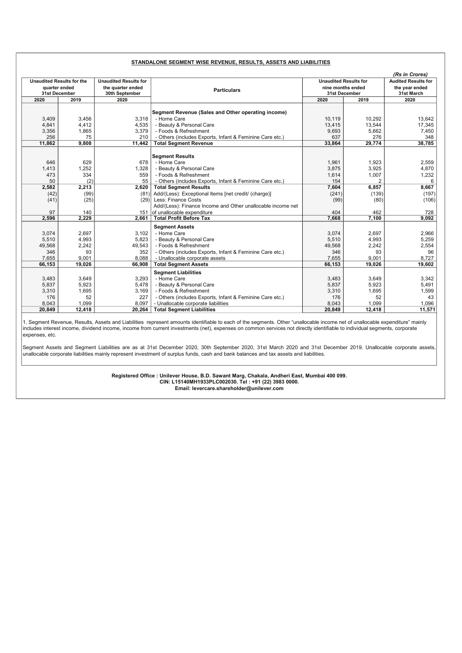|      |                                  |        |                              |                                                             |                                    |                | (Rs in Crores)               |  |                            |
|------|----------------------------------|--------|------------------------------|-------------------------------------------------------------|------------------------------------|----------------|------------------------------|--|----------------------------|
|      | <b>Unaudited Results for the</b> |        | <b>Unaudited Results for</b> |                                                             |                                    |                | <b>Unaudited Results for</b> |  | <b>Audited Results for</b> |
|      | quarter ended                    |        | the quarter ended            | <b>Particulars</b>                                          | nine months ended<br>31st December |                | the year ended               |  |                            |
|      | <b>31st December</b>             |        | 30th September               |                                                             |                                    |                | 31st March                   |  |                            |
| 2020 |                                  | 2019   | 2020                         |                                                             | 2020                               | 2019           | 2020                         |  |                            |
|      |                                  |        |                              |                                                             |                                    |                |                              |  |                            |
|      |                                  |        |                              | Segment Revenue (Sales and Other operating income)          |                                    |                |                              |  |                            |
|      | 3,409                            | 3,456  | 3.318                        | - Home Care                                                 | 10.119                             | 10,292         | 13.642                       |  |                            |
|      | 4,841                            | 4,412  | 4.535                        | - Beauty & Personal Care                                    | 13,415                             | 13,544         | 17,345                       |  |                            |
|      | 3,356                            | 1,865  | 3,379                        | - Foods & Refreshment                                       | 9,693                              | 5,662          | 7,450                        |  |                            |
|      | 256                              | 75     | 210                          | - Others (includes Exports, Infant & Feminine Care etc.)    | 637                                | 276            | 348                          |  |                            |
|      | 11,862                           | 9.808  | 11.442                       | <b>Total Segment Revenue</b>                                | 33,864                             | 29,774         | 38,785                       |  |                            |
|      |                                  |        |                              |                                                             |                                    |                |                              |  |                            |
|      |                                  |        |                              | <b>Segment Results</b>                                      |                                    |                |                              |  |                            |
|      | 646                              | 629    | 678                          | - Home Care                                                 | 1,961                              | 1.923          | 2,559                        |  |                            |
|      | 1,413                            | 1,252  | 1.328                        | - Beauty & Personal Care                                    | 3,875                              | 3,925          | 4,870                        |  |                            |
|      | 473                              | 334    | 559                          | - Foods & Refreshment                                       | 1,614                              | 1,007          | 1,232                        |  |                            |
|      | 50                               | (2)    | 55                           | - Others (includes Exports, Infant & Feminine Care etc.)    | 154                                | $\overline{2}$ | 6                            |  |                            |
|      | 2,582                            | 2,213  | 2,620                        | <b>Total Segment Results</b>                                | 7,604                              | 6,857          | 8,667                        |  |                            |
|      | (42)                             | (99)   | (81)                         | Add/(Less): Exceptional Items [net credit/ (charge)]        | (241)                              | (139)          | (197)                        |  |                            |
|      | (41)                             | (25)   | (29)                         | Less: Finance Costs                                         | (99)                               | (80)           | (106)                        |  |                            |
|      |                                  |        |                              | Add/(Less): Finance Income and Other unallocable income net |                                    |                |                              |  |                            |
|      | 97                               | 140    | 151                          | of unallocable expenditure                                  | 404                                | 462            | 728                          |  |                            |
|      | 2,596                            | 2.229  | 2.661                        | <b>Total Profit Before Tax</b>                              | 7,668                              | 7,100          | 9.092                        |  |                            |
|      |                                  |        |                              | <b>Segment Assets</b>                                       |                                    |                |                              |  |                            |
|      | 3,074                            | 2,697  | 3.102                        | - Home Care                                                 | 3,074                              | 2,697          | 2,966                        |  |                            |
|      | 5,510                            | 4,993  | 5.823                        | - Beauty & Personal Care                                    | 5,510                              | 4,993          | 5,259                        |  |                            |
|      | 49,568                           | 2,242  | 49.543                       | - Foods & Refreshment                                       | 49,568                             | 2,242          | 2,554                        |  |                            |
|      | 346                              | 93     | 352                          | - Others (includes Exports, Infant & Feminine Care etc.)    | 346                                | 93             | 96                           |  |                            |
|      | 7,655                            | 9.001  | 8.088                        | - Unallocable corporate assets                              | 7.655                              | 9.001          | 8,727                        |  |                            |
|      | 66,153                           | 19,026 | 66,908                       | <b>Total Segment Assets</b>                                 | 66,153                             | 19,026         | 19,602                       |  |                            |
|      |                                  |        |                              | <b>Seament Liabilities</b>                                  |                                    |                |                              |  |                            |
|      | 3,483                            | 3.649  | 3.293                        | - Home Care                                                 | 3,483                              | 3,649          | 3,342                        |  |                            |
|      | 5,837                            | 5,923  | 5,478                        | - Beauty & Personal Care                                    | 5,837                              | 5,923          | 5,491                        |  |                            |
|      | 3,310                            | 1,695  | 3,169                        | - Foods & Refreshment                                       | 3,310                              | 1,695          | 1,599                        |  |                            |
|      | 176                              | 52     | 227                          | - Others (includes Exports, Infant & Feminine Care etc.)    | 176                                | 52             | 43                           |  |                            |
|      | 8,043                            | 1.099  | 8,097                        | - Unallocable corporate liabilities                         | 8.043                              | 1.099          | 1.096                        |  |                            |
|      | 20.849                           | 12,418 | 20,264                       | <b>Total Segment Liabilities</b>                            | 20.849                             | 12,418         | 11,571                       |  |                            |
|      |                                  |        |                              |                                                             |                                    |                |                              |  |                            |

1. Segment Revenue, Results, Assets and Liabilities represent amounts identifiable to each of the segments. Other "unallocable income net of unallocable expenditure" mainly includes interest income, dividend income, income from current investments (net), expenses on common services not directly identifiable to individual segments, corporate expenses, etc.

Segment Assets and Segment Liabilities are as at 31st December 2020, 30th September 2020, 31st March 2020 and 31st December 2019. Unallocable corporate assets, unallocable corporate liabilities mainly represent investment of surplus funds, cash and bank balances and tax assets and liabilities.

> Registered Office : Unilever House, B.D. Sawant Marg, Chakala, Andheri East, Mumbai 400 099. CIN: L15140MH1933PLC002030. Tel : +91 (22) 3983 0000. Email: levercare.shareholder@unilever.com

#### STANDALONE SEGMENT WISE REVENUE, RESULTS, ASSETS AND LIABILITIES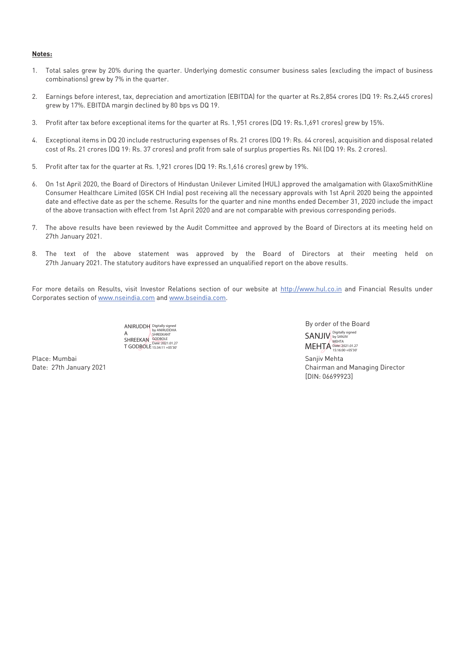#### **Notes:**

- 1. Total sales grew by 20% during the quarter. Underlying domestic consumer business sales (excluding the impact of business combinations) grew by 7% in the quarter.
- 2. Earnings before interest, tax, depreciation and amortization (EBITDA) for the quarter at Rs.2,854 crores (DQ 19: Rs.2,445 crores) grew by 17%. EBITDA margin declined by 80 bps vs DQ 19.
- 3. Profit after tax before exceptional items for the quarter at Rs. 1,951 crores (DQ 19: Rs.1,691 crores) grew by 15%.
- 4. Exceptional items in DQ 20 include restructuring expenses of Rs. 21 crores (DQ 19: Rs. 64 crores), acquisition and disposal related cost of Rs. 21 crores (DQ 19: Rs. 37 crores) and profit from sale of surplus properties Rs. Nil (DQ 19: Rs. 2 crores).
- 5. Profit after tax for the quarter at Rs. 1,921 crores (DQ 19: Rs.1,616 crores) grew by 19%.
- 6. On 1st April 2020, the Board of Directors of Hindustan Unilever Limited (HUL) approved the amalgamation with GlaxoSmithKline Consumer Healthcare Limited (GSK CH India) post receiving all the necessary approvals with 1st April 2020 being the appointed date and effective date as per the scheme. Results for the quarter and nine months ended December 31, 2020 include the impact of the above transaction with effect from 1st April 2020 and are not comparable with previous corresponding periods.
- 7. The above results have been reviewed by the Audit Committee and approved by the Board of Directors at its meeting held on 27th January 2021.
- 8. The text of the above statement was approved by the Board of Directors at their meeting held on 27th January 2021. The statutory auditors have expressed an unqualified report on the above results.

For more details on Results, visit Investor Relations section of our website at http://www.hul.co.in and Financial Results under Corporates section of www.nseindia.com and www.bseindia.com.

> ANIRUDDH A SHREEKAN T GODBOLE Digitally signed by ANIRUDDHA SHREEKANT GODBOLE Date: 2021.01.27 15:34:11 +05'30'

Place: Mumbai Sanjiv Mehta

 By order of the Board SANJIV Digitally signed MEHTA Date: 2021.01.27

Date: 27th January 2021 Chairman and Managing Director [DIN: 06699923]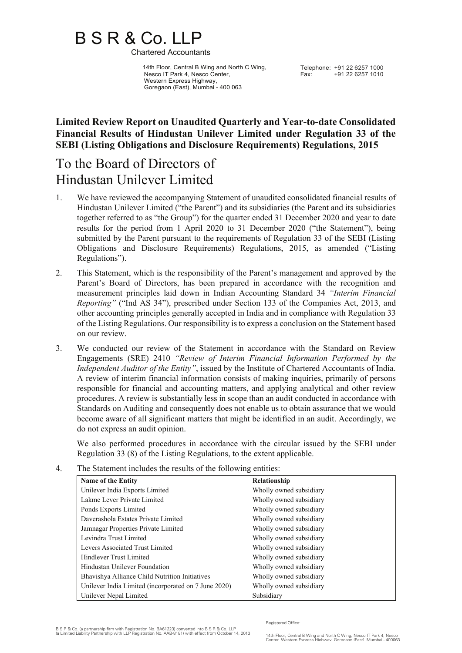# B S R & Co. LLP<br>Chartered Accountants

 14th Floor, Central B Wing and North C Wing, Nesco IT Park 4, Nesco Center, Western Express Highway, Goregaon (East), Mumbai - 400 063

Telephone: +91 22 6257 1000<br>Fax: +91 22 6257 1010 Fax: +91 22 6257 1010

## **Limited Review Report on Unaudited Quarterly and Year-to-date Consolidated Financial Results of Hindustan Unilever Limited under Regulation 33 of the SEBI (Listing Obligations and Disclosure Requirements) Regulations, 2015**

# To the Board of Directors of Hindustan Unilever Limited

- 1. We have reviewed the accompanying Statement of unaudited consolidated financial results of Hindustan Unilever Limited ("the Parent") and its subsidiaries (the Parent and its subsidiaries together referred to as "the Group") for the quarter ended 31 December 2020 and year to date results for the period from 1 April 2020 to 31 December 2020 ("the Statement"), being submitted by the Parent pursuant to the requirements of Regulation 33 of the SEBI (Listing Obligations and Disclosure Requirements) Regulations, 2015, as amended ("Listing Regulations").
- 2. This Statement, which is the responsibility of the Parent's management and approved by the Parent's Board of Directors, has been prepared in accordance with the recognition and measurement principles laid down in Indian Accounting Standard 34 *"Interim Financial Reporting"* ("Ind AS 34"), prescribed under Section 133 of the Companies Act, 2013, and other accounting principles generally accepted in India and in compliance with Regulation 33 of the Listing Regulations. Our responsibility is to express a conclusion on the Statement based on our review.
- 3. We conducted our review of the Statement in accordance with the Standard on Review Engagements (SRE) 2410 *"Review of Interim Financial Information Performed by the Independent Auditor of the Entity"*, issued by the Institute of Chartered Accountants of India. A review of interim financial information consists of making inquiries, primarily of persons responsible for financial and accounting matters, and applying analytical and other review procedures. A review is substantially less in scope than an audit conducted in accordance with Standards on Auditing and consequently does not enable us to obtain assurance that we would become aware of all significant matters that might be identified in an audit. Accordingly, we do not express an audit opinion.

We also performed procedures in accordance with the circular issued by the SEBI under Regulation 33 (8) of the Listing Regulations, to the extent applicable.

4. The Statement includes the results of the following entities:

| <b>Name of the Entity</b>                            | Relationship            |
|------------------------------------------------------|-------------------------|
| Unilever India Exports Limited                       | Wholly owned subsidiary |
| Lakme Lever Private Limited                          | Wholly owned subsidiary |
| Ponds Exports Limited                                | Wholly owned subsidiary |
| Daverashola Estates Private Limited                  | Wholly owned subsidiary |
| Jamnagar Properties Private Limited                  | Wholly owned subsidiary |
| Levindra Trust Limited                               | Wholly owned subsidiary |
| Levers Associated Trust Limited                      | Wholly owned subsidiary |
| Hindlever Trust Limited                              | Wholly owned subsidiary |
| Hindustan Unilever Foundation                        | Wholly owned subsidiary |
| Bhavishya Alliance Child Nutrition Initiatives       | Wholly owned subsidiary |
| Unilever India Limited (incorporated on 7 June 2020) | Wholly owned subsidiary |
| Unilever Nepal Limited                               | Subsidiary              |

Registered Office: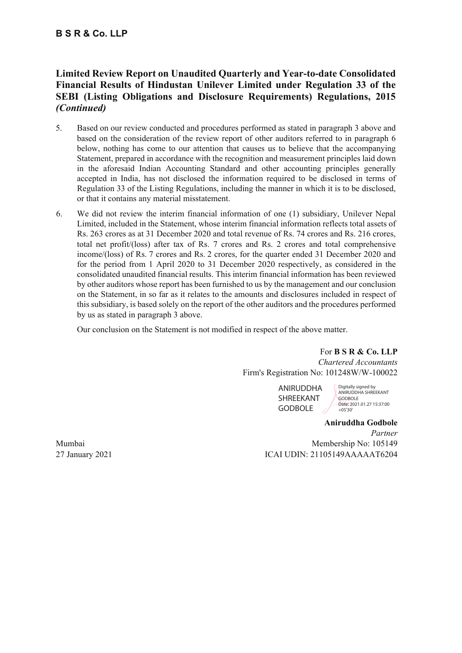## **B S R & Co. LLP**

## **Limited Review Report on Unaudited Quarterly and Year-to-date Consolidated Financial Results of Hindustan Unilever Limited under Regulation 33 of the SEBI (Listing Obligations and Disclosure Requirements) Regulations, 2015**  *(Continued)*

- 5. Based on our review conducted and procedures performed as stated in paragraph 3 above and based on the consideration of the review report of other auditors referred to in paragraph 6 below, nothing has come to our attention that causes us to believe that the accompanying Statement, prepared in accordance with the recognition and measurement principles laid down in the aforesaid Indian Accounting Standard and other accounting principles generally accepted in India, has not disclosed the information required to be disclosed in terms of Regulation 33 of the Listing Regulations, including the manner in which it is to be disclosed, or that it contains any material misstatement.
- 6. We did not review the interim financial information of one (1) subsidiary, Unilever Nepal Limited, included in the Statement, whose interim financial information reflects total assets of Rs. 263 crores as at 31 December 2020 and total revenue of Rs. 74 crores and Rs. 216 crores, total net profit/(loss) after tax of Rs. 7 crores and Rs. 2 crores and total comprehensive income/(loss) of Rs. 7 crores and Rs. 2 crores, for the quarter ended 31 December 2020 and for the period from 1 April 2020 to 31 December 2020 respectively, as considered in the consolidated unaudited financial results. This interim financial information has been reviewed by other auditors whose report has been furnished to us by the management and our conclusion on the Statement, in so far as it relates to the amounts and disclosures included in respect of this subsidiary, is based solely on the report of the other auditors and the procedures performed by us as stated in paragraph 3 above.

Our conclusion on the Statement is not modified in respect of the above matter.

For **B S R & Co. LLP** *Chartered Accountants* Firm's Registration No: 101248W/W-100022

> ANIRUDDHA SHREEKANT **GODBOLE**

Digitally signed by ANIRUDDHA SHREEKANT **GODBOLE** Date: 2021.01.27 15:37:00  $+05'30$ 

**Aniruddha Godbole** *Partner* Mumbai Membership No: 105149 27 January 2021 ICAI UDIN: 21105149AAAAAT6204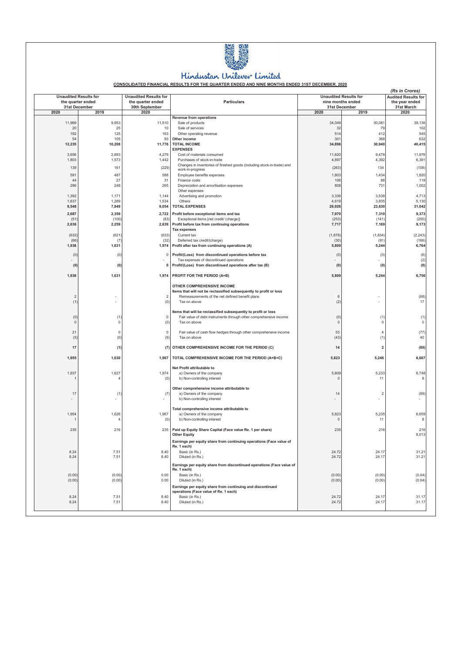

## Hindustan Unilever Limited

CONSOLIDATED FINANCIAL RESULTS FOR THE QUARTER ENDED AND NINE MONTHS ENDED 31ST DECEMBER, 2020

| <b>Unaudited Results for</b> |                                    | <b>Unaudited Results for</b>        |                                                                                                                                     | <b>Unaudited Results for</b>       |                       | (Rs in Crores)<br><b>Audited Results for</b> |
|------------------------------|------------------------------------|-------------------------------------|-------------------------------------------------------------------------------------------------------------------------------------|------------------------------------|-----------------------|----------------------------------------------|
|                              | the quarter ended<br>31st December | the quarter ended<br>30th September | <b>Particulars</b>                                                                                                                  | nine months ended<br>31st December |                       | the year ended<br>31st March                 |
| 2020                         | 2019                               | 2020                                |                                                                                                                                     | 2020                               | 2019                  | 2020                                         |
|                              |                                    |                                     | <b>Revenue from operations</b>                                                                                                      |                                    |                       |                                              |
| 11,969                       | 9,953                              | 11,510                              | Sale of products                                                                                                                    | 34,049                             | 30,081                | 39,136                                       |
| 20<br>192                    | 25<br>125                          | 10<br>163                           | Sale of services<br>Other operating revenue                                                                                         | 32<br>514                          | 79<br>412             | 102<br>545                                   |
| 54                           | 105                                | 93                                  | Other income                                                                                                                        | 301                                | 368                   | 632                                          |
| 12,235                       | 10,208                             | 11,776                              | <b>TOTAL INCOME</b>                                                                                                                 | 34,896                             | 30,940                | 40,415                                       |
| 3,656                        | 2,893                              | 4,279                               | <b>EXPENSES</b><br>Cost of materials consumed                                                                                       | 11,620                             | 9,478                 | 11,976                                       |
| 1,803                        | 1,573                              | 1,442                               | Purchases of stock-in-trade                                                                                                         | 4,897                              | 4,392                 | 6,391                                        |
| 139                          | 161                                | (229)                               | Changes in inventories of finished goods (including stock-in-trade) and                                                             | (263)                              | 134                   | (108)                                        |
| 591                          | 487                                | 588                                 | work-in-progress<br>Employee benefits expenses                                                                                      | 1,803                              | 1,434                 | 1,820                                        |
| 44                           | 27                                 | 31                                  | Finance costs                                                                                                                       | 106                                | 88                    | 118                                          |
| 286                          | 248                                | 265                                 | Depreciation and amortisation expenses                                                                                              | 808                                | 731                   | 1,002                                        |
|                              |                                    |                                     | Other expenses                                                                                                                      |                                    |                       |                                              |
| 1,392<br>1,637               | 1,171<br>1,289                     | 1,144<br>1,534                      | Advertising and promotion<br>Others                                                                                                 | 3,336<br>4,619                     | 3,538<br>3,835        | 4,713<br>5,130                               |
| 9,548                        | 7,849                              | 9,054                               | <b>TOTAL EXPENSES</b>                                                                                                               | 26,926                             | 23,630                | 31,042                                       |
| 2,687                        | 2,359                              | 2,722                               | Profit before exceptional items and tax                                                                                             | 7,970                              | 7,310                 | 9,373                                        |
| (51)                         | (100)                              | (83)                                | Exceptional items [net credit/ (charge)]                                                                                            | (253)                              | (141)                 | (200)                                        |
| 2,636                        | 2,259                              | 2,639                               | Profit before tax from continuing operations                                                                                        | 7,717                              | 7,169                 | 9,173                                        |
| (632)                        | (621)                              | (633)                               | <b>Tax expenses</b><br>Current tax                                                                                                  | (1,878)                            | (1,834)               | (2, 243)                                     |
| (66)                         | (7)                                | (32)                                | Deferred tax credit/(charge)                                                                                                        | (30)                               | (91)                  | (166)                                        |
| 1,938                        | 1,631                              | 1,974                               | Profit after tax from continuing operations (A)                                                                                     | 5,809                              | 5,244                 | 6,764                                        |
| (0)                          | (0)                                | 0                                   | Profit/(Loss) from discontinued operations before tax                                                                               | (0)                                | (0)                   | (6)                                          |
|                              |                                    |                                     | Tax expenses of discontinued operations                                                                                             |                                    |                       | (2)                                          |
| (0)                          | (0)                                | 0                                   | Profit/(Loss) from discontinued operations after tax (B)                                                                            | (0)                                | (0)                   | (8)                                          |
| 1,938                        | 1,631                              | 1,974                               | PROFIT FOR THE PERIOD (A+B)                                                                                                         | 5,809                              | 5,244                 | 6,756                                        |
|                              |                                    |                                     |                                                                                                                                     |                                    |                       |                                              |
|                              |                                    |                                     | OTHER COMPREHENSIVE INCOME                                                                                                          |                                    |                       |                                              |
| $\overline{2}$               |                                    |                                     | Items that will not be reclassified subsequently to profit or loss<br>Remeasurements of the net defined benefit plans               | 6                                  |                       | (68)                                         |
| (1)                          |                                    | (0)                                 | Tax on above                                                                                                                        | (2)                                |                       | 17                                           |
|                              |                                    |                                     |                                                                                                                                     |                                    |                       |                                              |
| (0)                          | (1)                                | 0                                   | Items that will be reclassified subsequently to profit or loss<br>Fair value of debt instruments through other comprehensive income | (0)                                | (1)                   | (1)                                          |
| $\mathbb O$                  | 0                                  | (0)                                 | Tax on above                                                                                                                        | $\mathbf{0}$                       | $\Omega$              | 0                                            |
|                              |                                    |                                     |                                                                                                                                     |                                    |                       |                                              |
| 21<br>(5)                    | $\mathbf 0$<br>(0)                 | $\mathbb O$<br>(9)                  | Fair value of cash flow hedges through other comprehensive income<br>Tax on above                                                   | 53<br>(43)                         | $\overline{4}$<br>(1) | (77)<br>40                                   |
|                              |                                    |                                     |                                                                                                                                     |                                    |                       |                                              |
| 17                           | (1)                                | (7)                                 | OTHER COMPREHENSIVE INCOME FOR THE PERIOD (C)                                                                                       | 14                                 | 2                     | (89)                                         |
| 1,955                        | 1,630                              | 1,967                               | TOTAL COMPREHENSIVE INCOME FOR THE PERIOD (A+B+C)                                                                                   | 5,823                              | 5,246                 | 6,667                                        |
|                              |                                    |                                     | Net Profit attributable to                                                                                                          |                                    |                       |                                              |
| 1,937                        | 1,627                              | 1,974                               | a) Owners of the company                                                                                                            | 5,809                              | 5,233                 | 6,748                                        |
|                              | $\overline{4}$                     | (0)                                 | b) Non-controlling interest                                                                                                         | 0                                  | 11                    |                                              |
|                              |                                    |                                     | Other comprehensive income attributable to                                                                                          |                                    |                       |                                              |
| 17                           | (1)                                | (7)                                 | a) Owners of the company                                                                                                            | 14                                 | $\overline{2}$        | (89)                                         |
|                              |                                    |                                     | b) Non-controlling interest                                                                                                         |                                    |                       |                                              |
|                              |                                    |                                     |                                                                                                                                     |                                    |                       |                                              |
| 1,954                        | 1,626                              | 1,967                               | Total comprehensive income attributable to<br>a) Owners of the company                                                              | 5,823                              | 5,235                 | 6,659                                        |
|                              | $\overline{4}$                     | (0)                                 | b) Non-controlling interest                                                                                                         | 0                                  | 11                    | 8                                            |
| 235                          | 216                                | 235                                 | Paid up Equity Share Capital (Face value Re. 1 per share)                                                                           | 235                                | 216                   | 216                                          |
|                              |                                    |                                     | <b>Other Equity</b>                                                                                                                 |                                    |                       | 8,013                                        |
|                              |                                    |                                     | Earnings per equity share from continuing operations (Face value of                                                                 |                                    |                       |                                              |
|                              |                                    |                                     | Re. 1 each)                                                                                                                         |                                    |                       |                                              |
| 8.24                         | 7.51<br>7.51                       | 8.40<br>8.40                        | Basic (in Rs.)                                                                                                                      | 24.72                              | 24.17<br>24.17        | 31.21                                        |
| 8.24                         |                                    |                                     | Diluted (in Rs.)                                                                                                                    | 24.72                              |                       | 31.21                                        |
|                              |                                    |                                     | Earnings per equity share from discontinued operations (Face value of<br>Re. 1 each)                                                |                                    |                       |                                              |
| (0.00)                       | (0.00)                             | 0.00                                | Basic (in Rs.)                                                                                                                      | (0.00)                             | (0.00)                | (0.04)                                       |
| (0.00)                       | (0.00)                             | 0.00                                | Diluted (in Rs.)                                                                                                                    | (0.00)                             | (0.00)                | (0.04)                                       |
|                              |                                    |                                     | Earnings per equity share from continuing and discontinued                                                                          |                                    |                       |                                              |
|                              |                                    |                                     | operations (Face value of Re. 1 each)                                                                                               |                                    |                       |                                              |
| 8.24<br>8.24                 | 7.51<br>7.51                       | 8.40<br>8.40                        | Basic (in Rs.)<br>Diluted (in Rs.)                                                                                                  | 24.72<br>24.72                     | 24.17<br>24.17        | 31.17<br>31.17                               |
|                              |                                    |                                     |                                                                                                                                     |                                    |                       |                                              |
|                              |                                    |                                     |                                                                                                                                     |                                    |                       |                                              |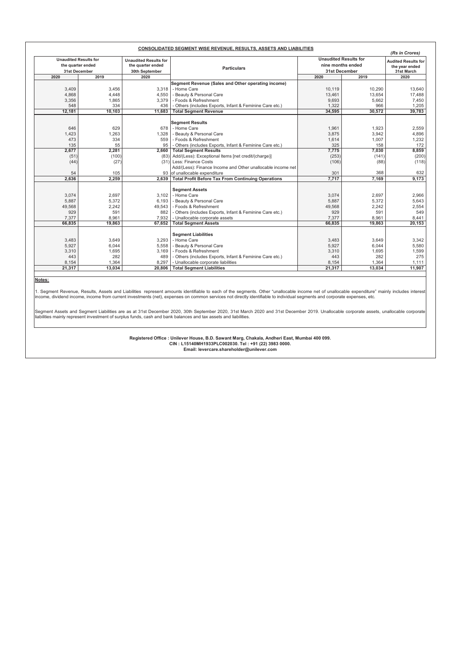|        |                                                                            |                                                                             | <b>CONSOLIDATED SEGMENT WISE REVENUE, RESULTS, ASSETS AND LIABILITIES</b> |                                                                    |        | (Rs in Crores)                                                     |
|--------|----------------------------------------------------------------------------|-----------------------------------------------------------------------------|---------------------------------------------------------------------------|--------------------------------------------------------------------|--------|--------------------------------------------------------------------|
|        | <b>Unaudited Results for</b><br>the quarter ended<br>31st December<br>2019 | <b>Unaudited Results for</b><br>the quarter ended<br>30th September<br>2020 | <b>Particulars</b>                                                        | <b>Unaudited Results for</b><br>nine months ended<br>31st December |        | <b>Audited Results for</b><br>the vear ended<br>31st March<br>2020 |
| 2020   |                                                                            |                                                                             |                                                                           | 2020                                                               | 2019   |                                                                    |
|        |                                                                            |                                                                             | Segment Revenue (Sales and Other operating income)                        |                                                                    |        |                                                                    |
| 3,409  | 3.456                                                                      | 3.318                                                                       | - Home Care                                                               | 10.119                                                             | 10,290 | 13,640                                                             |
| 4,868  | 4,448                                                                      | 4,550                                                                       | - Beauty & Personal Care                                                  | 13,461                                                             | 13,654 | 17,488                                                             |
| 3,356  | 1,865                                                                      | 3,379                                                                       | - Foods & Refreshment                                                     | 9,693                                                              | 5,662  | 7.450                                                              |
| 548    | 334                                                                        | 436                                                                         | - Others (includes Exports, Infant & Feminine Care etc.)                  | 1.322                                                              | 966    | 1.205                                                              |
| 12,181 | 10,103                                                                     | 11,683                                                                      | <b>Total Segment Revenue</b>                                              | 34,595                                                             | 30,572 | 39,783                                                             |
|        |                                                                            |                                                                             |                                                                           |                                                                    |        |                                                                    |
| 646    | 629                                                                        | 678                                                                         | <b>Segment Results</b><br>- Home Care                                     | 1,961                                                              | 1,923  | 2,559                                                              |
| 1,423  | 1.263                                                                      | 1.328                                                                       | - Beauty & Personal Care                                                  | 3,875                                                              | 3,942  | 4,896                                                              |
| 473    | 334                                                                        | 559                                                                         | - Foods & Refreshment                                                     | 1,614                                                              | 1,007  | 1,232                                                              |
| 135    | 55                                                                         | 95                                                                          | - Others (includes Exports, Infant & Feminine Care etc.)                  | 325                                                                | 158    | 172                                                                |
| 2,677  | 2,281                                                                      | 2,660                                                                       | <b>Total Segment Results</b>                                              | 7,775                                                              | 7,030  | 8,859                                                              |
| (51)   | (100)                                                                      | (83)                                                                        | Add/(Less): Exceptional Items [net credit/(charge)]                       | (253)                                                              | (141)  | (200)                                                              |
| (44)   | (27)                                                                       | (31)                                                                        | Less: Finance Costs                                                       | (106)                                                              | (88)   | (118)                                                              |
|        |                                                                            |                                                                             | Add/(Less): Finance Income and Other unallocable income net               |                                                                    |        |                                                                    |
| 54     | 105                                                                        |                                                                             | 93 of unallocable expenditure                                             | 301                                                                | 368    | 632                                                                |
| 2,636  | 2,259                                                                      | 2,639                                                                       | <b>Total Profit Before Tax From Continuing Operations</b>                 | 7,717                                                              | 7,169  | 9,173                                                              |
|        |                                                                            |                                                                             |                                                                           |                                                                    |        |                                                                    |
|        |                                                                            |                                                                             | <b>Segment Assets</b>                                                     |                                                                    |        |                                                                    |
| 3,074  | 2,697                                                                      |                                                                             | 3.102 - Home Care                                                         | 3,074                                                              | 2,697  | 2,966                                                              |
| 5,887  | 5,372                                                                      | 6,193                                                                       | - Beauty & Personal Care                                                  | 5,887                                                              | 5,372  | 5,643                                                              |
| 49,568 | 2,242                                                                      | 49.543                                                                      | - Foods & Refreshment                                                     | 49,568                                                             | 2,242  | 2,554                                                              |
| 929    | 591                                                                        | 882                                                                         | - Others (includes Exports, Infant & Feminine Care etc.)                  | 929                                                                | 591    | 549                                                                |
| 7,377  | 8,961                                                                      | 7,932                                                                       | - Unallocable corporate assets                                            | 7,377                                                              | 8,961  | 8,441                                                              |
| 66,835 | 19,863                                                                     | 67,652                                                                      | <b>Total Segment Assets</b>                                               | 66,835                                                             | 19,863 | 20,153                                                             |
|        |                                                                            |                                                                             |                                                                           |                                                                    |        |                                                                    |
|        |                                                                            |                                                                             | <b>Segment Liabilities</b>                                                |                                                                    |        |                                                                    |
| 3,483  | 3,649                                                                      | 3.293                                                                       | - Home Care                                                               | 3,483                                                              | 3,649  | 3,342                                                              |
| 5,927  | 6,044                                                                      | 5,558                                                                       | - Beauty & Personal Care                                                  | 5,927                                                              | 6,044  | 5,580                                                              |
| 3,310  | 1,695                                                                      | 3,169                                                                       | - Foods & Refreshment                                                     | 3,310                                                              | 1,695  | 1,599                                                              |
| 443    | 282                                                                        | 489                                                                         | - Others (includes Exports, Infant & Feminine Care etc.)                  | 443                                                                | 282    | 275                                                                |
| 8,154  | 1,364                                                                      | 8,297                                                                       | - Unallocable corporate liabilities                                       | 8,154                                                              | 1,364  | 1,111                                                              |
| 21,317 | 13,034                                                                     | 20.806                                                                      | <b>Total Segment Liabilities</b>                                          | 21,317                                                             | 13,034 | 11,907                                                             |

Notes:

1. Segment Revenue, Results, Assets and Liabilities represent amounts identifiable to each of the segments. Other "unallocable income net of unallocable expenditure" mainly includes interesi<br>Income, dividend income, income

Segment Assets and Segment Liabilities are as at 31st December 2020, 30th September 2020, 31st March 2020 and 31st December 2019. Unallocable corporate assets, unallocable corporate liabilities mainly represent investment of surplus funds, cash and bank balances and tax assets and liabilities.

> Registered Office : Unilever House, B.D. Sawant Marg, Chakala, Andheri East, Mumbai 400 099.<br>CIN : L15140MH1933PLC002030. Tel : +91 (22) 3983 0000. Email: levercare.shareholder@unilever.com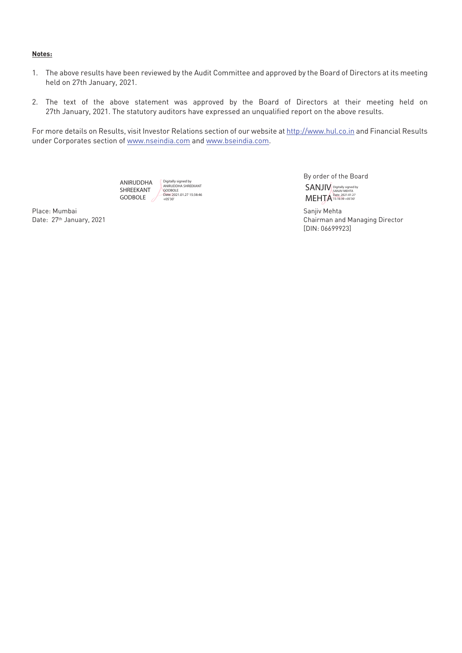#### **Notes:**

- 1. The above results have been reviewed by the Audit Committee and approved by the Board of Directors at its meeting held on 27th January, 2021.
- 2. The text of the above statement was approved by the Board of Directors at their meeting held on 27th January, 2021. The statutory auditors have expressed an unqualified report on the above results.

For more details on Results, visit Investor Relations section of our website at http://www.hul.co.in and Financial Results under Corporates section of www.nseindia.com and www.bseindia.com.

> ANIRUDDHA SHREEKANT GODBOLE Digitally signed by ANIRUDDHA SHREEKANT GODBOLE Date: 2021.01.27 15:38:46 +05'30'

Place: Mumbai Sanjiv Mehta

By order of the Board **SANJIV** MEHTA Digitally signed by SANJIV MEHTA Date: 2021.01.27 15:16:39 +05'30'

Date: 27th January, 2021 Chairman and Managing Director [DIN: 06699923]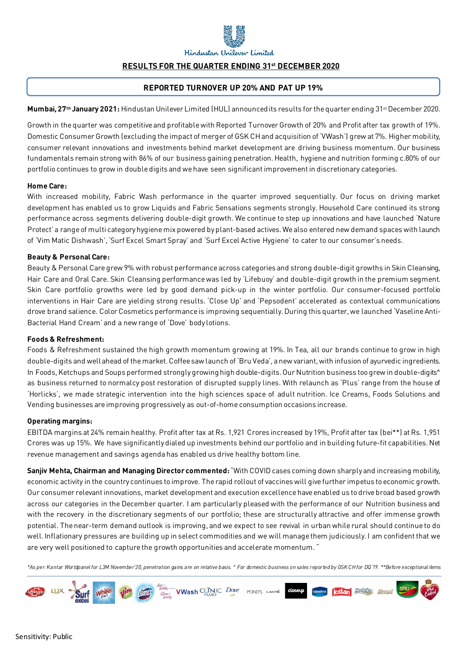

Hindustan Unilever Limited

## **RESULTS FOR THE QUARTER ENDING 31st DECEMBER 2020**

### **REPORTED TURNOVER UP 20% AND PAT UP 19%**

Mumbai, 27<sup>th</sup> January 2021: Hindustan Unilever Limited (HUL) announced its results for the quarter ending 31<sup>st</sup> December 2020.

Growth in the quarter was competitive and profitable with Reported Turnover Growth of 20% and Profit after tax growth of 19%. Domestic Consumer Growth (excluding the impact of merger of GSK CH and acquisition of 'VWash') grew at 7%. Higher mobility, consumer relevant innovations and investments behind market development are driving business momentum. Our business fundamentals remain strong with 86% of our business gaining penetration. Health, hygiene and nutrition forming c.80% of our portfolio continues to grow in double digits and we have seen significant improvement in discretionary categories.

#### **Home Care:**

With increased mobility, Fabric Wash performance in the quarter improved sequentially. Our focus on driving market development has enabled us to grow Liquids and Fabric Sensations segments strongly. Household Care continued its strong performance across segments delivering double-digit growth. We continue to step up innovations and have launched 'Nature Protect' a range of multi category hygiene mix powered by plant-based actives. We also entered new demand spaces with launch of 'Vim Matic Dishwash', 'Surf Excel Smart Spray' and 'Surf Excel Active Hygiene' to cater to our consumer's needs.

#### **Beauty & Personal Care:**

Beauty & Personal Caregrew 9% with robust performance across categories and strong double-digit growths in Skin Cleansing, Hair Care and Oral Care. Skin Cleansing performancewas led by 'Lifebuoy' and double-digit growth in the premium segment. Skin Care portfolio growths were led by good demand pick-up in the winter portfolio. Our consumer-focused portfolio interventions in Hair Care are yielding strong results. 'Close Up' and 'Pepsodent' accelerated as contextual communications drove brand salience. Color Cosmetics performance is improving sequentially. During this quarter, we launched 'Vaseline Anti-Bacterial Hand Cream' and a new range of 'Dove' body lotions.

#### **Foods & Refreshment:**

Foods & Refreshment sustained the high growth momentum growing at 19%. In Tea, all our brands continue to grow in high double-digits and well ahead of the market.Coffee saw launch of 'Bru Veda', a new variant, with infusion of ayurvedic ingredients. In Foods, Ketchups and Soups performed strongly growing high double-digits. Our Nutrition business too grew in double-digits^ as business returned to normalcy post restoration of disrupted supply lines. With relaunch as 'Plus' range from the house of 'Horlicks', we made strategic intervention into the high sciences space of adult nutrition. Ice Creams, Foods Solutions and Vending businesses are improving progressively as out-of-home consumption occasions increase.

#### **Operating margins:**

EBITDA margins at 24% remain healthy. Profit after tax at Rs. 1,921 Crores increased by 19%, Profit after tax (bei\*\*) at Rs. 1,951 Crores was up 15%. We have significantly dialed up investments behind our portfolio and in building future-fit capabilities. Net revenue management and savings agenda has enabled us drive healthy bottom line.

**Sanjiv Mehta, Chairman and Managing Director commented:** "With COVID cases coming down sharply and increasing mobility, economic activity in the country continues to improve. The rapid rollout of vaccines will give further impetus to economic growth. Our consumer relevant innovations, market development and execution excellence have enabled us to drive broad based growth across our categories in the December quarter. I am particularly pleased with the performance of our Nutrition business and with the recovery in the discretionary segments of our portfolio; these are structurally attractive and offer immense growth potential. The near-term demand outlook is improving, and we expect to see revival in urban while rural should continue to do well. Inflationary pressures are building up in select commodities and we will manage them judiciously. I am confident that we are very well positioned to capture the growth opportunities and accelerate momentum. "

*\*As per Kantar Worldpanel for L3M November'20, penetration gains are on relative basis. ^ For domestic business on sales reported by GSK CH for DQ'19. \*\*Before exceptional items*